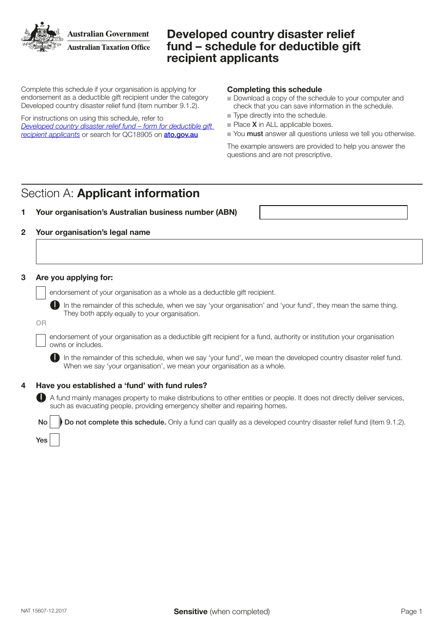**Australian Government Australian Taxation Office** 

# Developed country disaster relief fund – schedule for deductible gift recipient applicants

Complete this schedule if your organisation is applying for endorsement as a deductible gift recipient under the category Developed country disaster relief fund (item number 9.1.2).

For instructions on using this schedule, refer to *[Developed country disaster relief fund – form for deductible gift](https://www.ato.gov.au/non-profit/getting-started/in-detail/dgr-schedules/developed-country-disaster-relief-fund---schedule-for-deductible-gift-recipient-applicants/)  [recipient applicants](https://www.ato.gov.au/non-profit/getting-started/in-detail/dgr-schedules/developed-country-disaster-relief-fund---schedule-for-deductible-gift-recipient-applicants/)* or search for QC18905 on [ato.gov.au](http://ato.gov.au)

## Completing this schedule

- $\blacksquare$  Download a copy of the schedule to your computer and check that you can save information in the schedule.
- $\blacksquare$  Type directly into the schedule.
- $\blacksquare$  Place **X** in ALL applicable boxes.
- Nou must answer all questions unless we tell you otherwise.

The example answers are provided to help you answer the questions and are not prescriptive.

# Section A: Applicant information

## 1 Your organisation's Australian business number (ABN)

## 2 Your organisation's legal name

## 3 Are you applying for:

endorsement of your organisation as a whole as a deductible gift recipient.

In the remainder of this schedule, when we say 'your organisation' and 'your fund', they mean the same thing. They both apply equally to your organisation.

#### OR

endorsement of your organisation as a deductible gift recipient for a fund, authority or institution your organisation owns or includes.

In the remainder of this schedule, when we say 'your fund', we mean the developed country disaster relief fund. When we say 'your organisation', we mean your organisation as a whole.

## 4 Have you established a 'fund' with fund rules?

 A fund mainly manages property to make distributions to other entities or people. It does not directly deliver services, such as evacuating people, providing emergency shelter and repairing homes.

No **Do not complete this schedule.** Only a fund can qualify as a developed country disaster relief fund (item 9.1.2).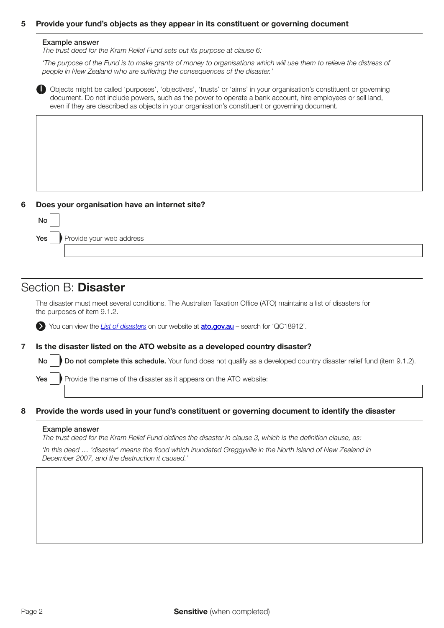## 5 Provide your fund's objects as they appear in its constituent or governing document

#### Example answer

*The trust deed for the Kram Relief Fund sets out its purpose at clause 6:* 

*'The purpose of the Fund is to make grants of money to organisations which will use them to relieve the distress of*  people in New Zealand who are suffering the consequences of the disaster.'



### 6 Does your organisation have an internet site?



## Section B: Disaster

The disaster must meet several conditions. The Australian Taxation Office (ATO) maintains a list of disasters for the purposes of item 9.1.2.

You can view the *[List of disasters](https://www.ato.gov.au/Non-profit/Gifts-and-fundraising/In-detail/Disasters/List-of-disasters/)* on our website at **[ato.gov.au](https://ato.gov.au)** – search for 'QC18912'.

### 7 Is the disaster listed on the ATO website as a developed country disaster?

No Do not complete this schedule. Your fund does not qualify as a developed country disaster relief fund (item 9.1.2).

 $Yes \rvert$  Provide the name of the disaster as it appears on the ATO website:

#### 8 Provide the words used in your fund's constituent or governing document to identify the disaster

#### Example answer

*The trust deed for the Kram Relief Fund defines the disaster in clause 3, which is the definition clause, as:* 

'In this deed … 'disaster' means the flood which inundated Greggyville in the North Island of New Zealand in December 2007, and the destruction it caused.'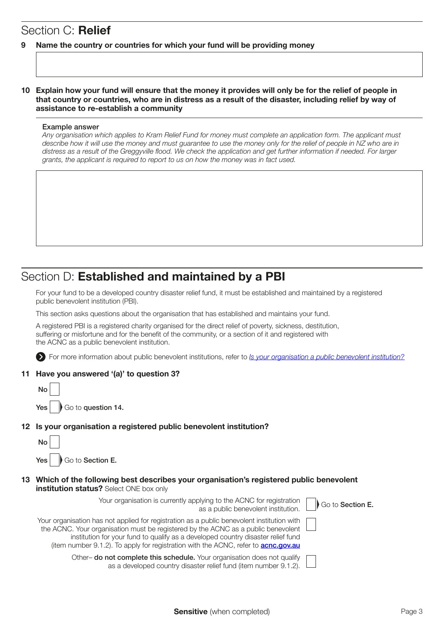# Section C: Relief

## 9 Name the country or countries for which your fund will be providing money

## 10 Explain how your fund will ensure that the money it provides will only be for the relief of people in that country or countries, who are in distress as a result of the disaster, including relief by way of assistance to re-establish a community

### Example answer

Any organisation which applies to Kram Relief Fund for money must complete an application form. The applicant must describe how it will use the money and must guarantee to use the money only for the relief of people in NZ who are in distress as a result of the Greggyville flood. We check the application and get further information if needed. For larger grants, the applicant is required to report to us on how the money was in fact used.

# Section D: Established and maintained by a PBI

For your fund to be a developed country disaster relief fund, it must be established and maintained by a registered public benevolent institution (PBI).

This section asks questions about the organisation that has established and maintains your fund.

A registered PBI is a registered charity organised for the direct relief of poverty, sickness, destitution, suffering or misfortune and for the benefit of the community, or a section of it and registered with the ACNC as a public benevolent institution.

For more information about public benevolent institutions, refer to *[Is your organisation a public benevolent institution?](https://www.ato.gov.au/Non-profit/getting-started/in-detail/types-of-charities/is-your-organisation-a-public-benevolent-institution-/)*

## 11 Have you answered '(a)' to question 3?

| No |                                             |
|----|---------------------------------------------|
|    | Yes $\sqrt{\phantom{a}}$ Go to question 14. |

## 12 Is your organisation a registered public benevolent institution?

| No |                             |
|----|-----------------------------|
|    | Yes $\Box$ Go to Section E. |

### 13 Which of the following best describes your organisation's registered public benevolent institution status? Select ONE box only

Your organisation is currently applying to the ACNC for registration as a public benevolent institution.

| Your organisation has not applied for registration as a public benevolent institution with |
|--------------------------------------------------------------------------------------------|
| the ACNC. Your organisation must be registered by the ACNC as a public benevolent          |
| institution for your fund to qualify as a developed country disaster relief fund           |
| (item number 9.1.2). To apply for registration with the ACNC, refer to <b>acnc.gov.au</b>  |

Other– do not complete this schedule. Your organisation does not qualify as a developed country disaster relief fund (item number 9.1.2). Go to Section E.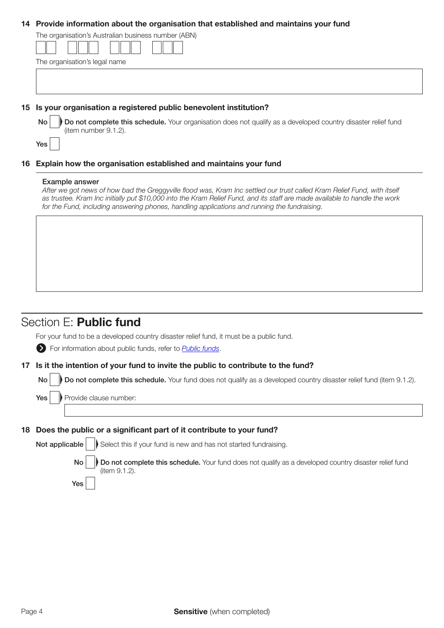### 14 Provide information about the organisation that established and maintains your fund

| The organisation's Australian business number (ABN) |  |  |
|-----------------------------------------------------|--|--|
| The organisation's legal name                       |  |  |
|                                                     |  |  |
|                                                     |  |  |
|                                                     |  |  |

### 15 Is your organisation a registered public benevolent institution?

No Do not complete this schedule. Your organisation does not qualify as a developed country disaster relief fund (item number 9.1.2).

## 16 Explain how the organisation established and maintains your fund

### Example answer

Yes

After we got news of how bad the Greggyville flood was, Kram Inc settled our trust called Kram Relief Fund, with itself as trustee. Kram Inc initially put \$10,000 into the Kram Relief Fund, and its staff are made available to handle the work for the Fund, including answering phones, handling applications and running the fundraising.

# Section E: Public fund

For your fund to be a developed country disaster relief fund, it must be a public fund.

For information about public funds, refer to *[Public funds](https://www.ato.gov.au/non-profit/getting-started/in-detail/types-of-dgrs/public-funds/)*.

### 17 Is it the intention of your fund to invite the public to contribute to the fund?

No **Do not complete this schedule.** Your fund does not qualify as a developed country disaster relief fund (item 9.1.2).

 $Yes \cup$  Provide clause number:

Yes

### 18 Does the public or a significant part of it contribute to your fund?

| Not applicable $\ \hspace{1ex}\ $ Select this if your fund is new and has not started fundraising.                        |
|---------------------------------------------------------------------------------------------------------------------------|
| No Do not complete this schedule. Your fund does not qualify as a developed country disaster relief fund<br>(item 9.1.2). |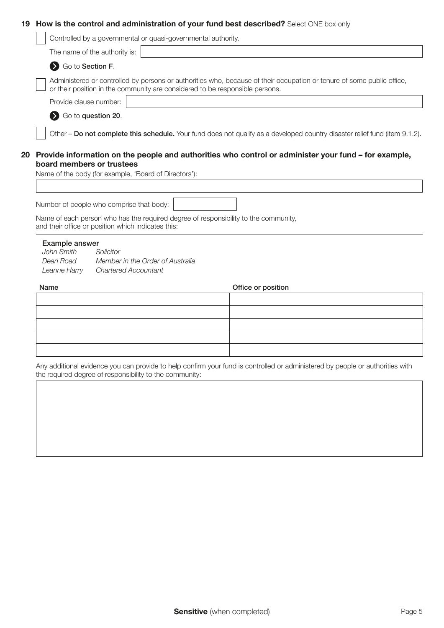## 19 How is the control and administration of your fund best described? Select ONE box only

|                                                    |                               | Controlled by a governmental or quasi-governmental authority.                                                                                                                                          |                    |  |  |
|----------------------------------------------------|-------------------------------|--------------------------------------------------------------------------------------------------------------------------------------------------------------------------------------------------------|--------------------|--|--|
|                                                    | The name of the authority is: |                                                                                                                                                                                                        |                    |  |  |
| Go to Section F.                                   |                               |                                                                                                                                                                                                        |                    |  |  |
|                                                    |                               | Administered or controlled by persons or authorities who, because of their occupation or tenure of some public office,<br>or their position in the community are considered to be responsible persons. |                    |  |  |
| Provide clause number:                             |                               |                                                                                                                                                                                                        |                    |  |  |
| So to question 20.                                 |                               |                                                                                                                                                                                                        |                    |  |  |
|                                                    |                               |                                                                                                                                                                                                        |                    |  |  |
|                                                    |                               | Other - Do not complete this schedule. Your fund does not qualify as a developed country disaster relief fund (item 9.1.2).                                                                            |                    |  |  |
|                                                    |                               |                                                                                                                                                                                                        |                    |  |  |
|                                                    |                               | Provide information on the people and authorities who control or administer your fund - for example,                                                                                                   |                    |  |  |
| board members or trustees                          |                               |                                                                                                                                                                                                        |                    |  |  |
|                                                    |                               | Name of the body (for example, 'Board of Directors'):                                                                                                                                                  |                    |  |  |
|                                                    |                               |                                                                                                                                                                                                        |                    |  |  |
|                                                    |                               |                                                                                                                                                                                                        |                    |  |  |
|                                                    |                               |                                                                                                                                                                                                        |                    |  |  |
| Number of people who comprise that body:           |                               |                                                                                                                                                                                                        |                    |  |  |
|                                                    |                               |                                                                                                                                                                                                        |                    |  |  |
|                                                    |                               | Name of each person who has the required degree of responsibility to the community,                                                                                                                    |                    |  |  |
| and their office or position which indicates this: |                               |                                                                                                                                                                                                        |                    |  |  |
| Example answer                                     |                               |                                                                                                                                                                                                        |                    |  |  |
| John Smith                                         | Solicitor                     |                                                                                                                                                                                                        |                    |  |  |
| Dean Road                                          |                               | Member in the Order of Australia                                                                                                                                                                       |                    |  |  |
| Leanne Harry                                       | <b>Chartered Accountant</b>   |                                                                                                                                                                                                        |                    |  |  |
|                                                    |                               |                                                                                                                                                                                                        |                    |  |  |
| Name                                               |                               |                                                                                                                                                                                                        | Office or position |  |  |
|                                                    |                               |                                                                                                                                                                                                        |                    |  |  |
|                                                    |                               |                                                                                                                                                                                                        |                    |  |  |
|                                                    |                               |                                                                                                                                                                                                        |                    |  |  |
|                                                    |                               |                                                                                                                                                                                                        |                    |  |  |
|                                                    |                               |                                                                                                                                                                                                        |                    |  |  |
|                                                    |                               |                                                                                                                                                                                                        |                    |  |  |
|                                                    |                               |                                                                                                                                                                                                        |                    |  |  |
|                                                    |                               | Any additional evidence you can provide to help confirm your fund is controlled or administered by people or authorities with<br>the required degree of responsibility to the community:               |                    |  |  |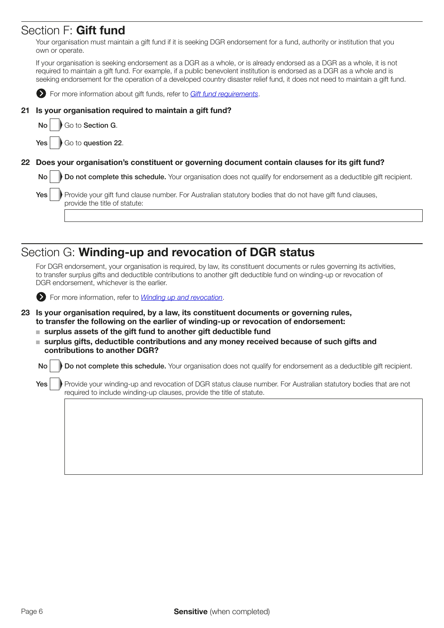# Section F: Gift fund

Your organisation must maintain a gift fund if it is seeking DGR endorsement for a fund, authority or institution that you own or operate.

If your organisation is seeking endorsement as a DGR as a whole, or is already endorsed as a DGR as a whole, it is not required to maintain a gift fund. For example, if a public benevolent institution is endorsed as a DGR as a whole and is seeking endorsement for the operation of a developed country disaster relief fund, it does not need to maintain a gift fund.



**EX** For more information about gift funds, refer to *[Gift fund requirements](https://www.ato.gov.au/non-profit/getting-started/in-detail/types-of-dgrs/public-funds/?anchor=Public_fund_be_a_gift_fund#Public_fund_be_a_gift_fund)*.

## 21 Is your organisation required to maintain a gift fund?



 $Yes |$  Go to question 22.

## 22 Does your organisation's constituent or governing document contain clauses for its gift fund?

No Do not complete this schedule. Your organisation does not qualify for endorsement as a deductible gift recipient.

|  | $\mathsf{Yes} \left  \;\;\right $ Provide your gift fund clause number. For Australian statutory bodies that do not have gift fund clauses, |
|--|---------------------------------------------------------------------------------------------------------------------------------------------|
|  | provide the title of statute:                                                                                                               |

# Section G: Winding-up and revocation of DGR status

For DGR endorsement, your organisation is required, by law, its constituent documents or rules governing its activities, to transfer surplus gifts and deductible contributions to another gift deductible fund on winding-up or revocation of DGR endorsement, whichever is the earlier.



For more information, refer to *[Winding up and revocation](https://www.ato.gov.au/Non-profit/Getting-started/In-detail/Types-of-DGRs/Rules-and-tests-for-DGR-endorsement/?anchor=Windingupandrevocation1#Windingupandrevocation1)*.

- 23 Is your organisation required, by a law, its constituent documents or governing rules, to transfer the following on the earlier of winding-up or revocation of endorsement:
	- $\blacksquare$  surplus assets of the gift fund to another gift deductible fund
	- surplus gifts, deductible contributions and any money received because of such gifts and contributions to another DGR?

 $\mathsf{No} \models \mathsf{Do}$  not complete this schedule. Your organisation does not qualify for endorsement as a deductible gift recipient.

Yes | Provide your winding-up and revocation of DGR status clause number. For Australian statutory bodies that are not required to include winding-up clauses, provide the title of statute.